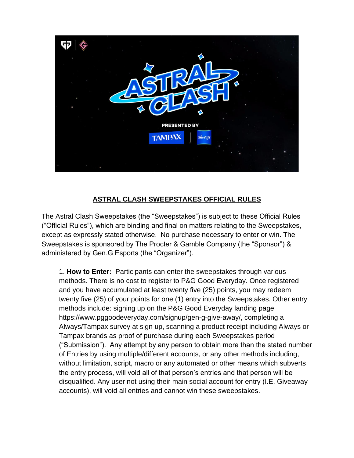

## **ASTRAL CLASH SWEEPSTAKES OFFICIAL RULES**

The Astral Clash Sweepstakes (the "Sweepstakes") is subject to these Official Rules ("Official Rules"), which are binding and final on matters relating to the Sweepstakes, except as expressly stated otherwise. No purchase necessary to enter or win. The Sweepstakes is sponsored by The Procter & Gamble Company (the "Sponsor") & administered by Gen.G Esports (the "Organizer").

1. **How to Enter:** Participants can enter the sweepstakes through various methods. There is no cost to register to P&G Good Everyday. Once registered and you have accumulated at least twenty five (25) points, you may redeem twenty five (25) of your points for one (1) entry into the Sweepstakes. Other entry methods include: signing up on the P&G Good Everyday landing page https://www.pggoodeveryday.com/signup/gen-g-give-away/, completing a Always/Tampax survey at sign up, scanning a product receipt including Always or Tampax brands as proof of purchase during each Sweepstakes period ("Submission"). Any attempt by any person to obtain more than the stated number of Entries by using multiple/different accounts, or any other methods including, without limitation, script, macro or any automated or other means which subverts the entry process, will void all of that person's entries and that person will be disqualified. Any user not using their main social account for entry (I.E. Giveaway accounts), will void all entries and cannot win these sweepstakes.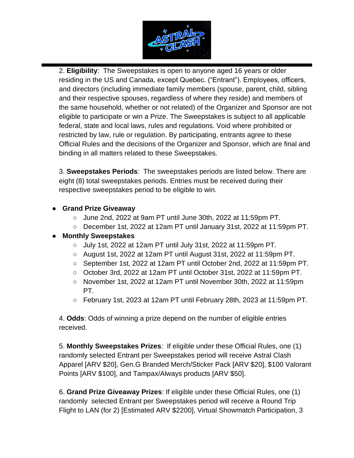

2. **Eligibility**: The Sweepstakes is open to anyone aged 16 years or older residing in the US and Canada, except Quebec. ("Entrant"). Employees, officers, and directors (including immediate family members (spouse, parent, child, sibling and their respective spouses, regardless of where they reside) and members of the same household, whether or not related) of the Organizer and Sponsor are not eligible to participate or win a Prize. The Sweepstakes is subject to all applicable federal, state and local laws, rules and regulations. Void where prohibited or restricted by law, rule or regulation. By participating, entrants agree to these Official Rules and the decisions of the Organizer and Sponsor, which are final and binding in all matters related to these Sweepstakes.

3. **Sweepstakes Periods**: The sweepstakes periods are listed below. There are eight (8) total sweepstakes periods. Entries must be received during their respective sweepstakes period to be eligible to win.

- **Grand Prize Giveaway**
	- June 2nd, 2022 at 9am PT until June 30th, 2022 at 11:59pm PT.
	- December 1st, 2022 at 12am PT until January 31st, 2022 at 11:59pm PT.

## ● **Monthly Sweepstakes**

- July 1st, 2022 at 12am PT until July 31st, 2022 at 11:59pm PT.
- August 1st, 2022 at 12am PT until August 31st, 2022 at 11:59pm PT.
- September 1st, 2022 at 12am PT until October 2nd, 2022 at 11:59pm PT.
- October 3rd, 2022 at 12am PT until October 31st, 2022 at 11:59pm PT.
- November 1st, 2022 at 12am PT until November 30th, 2022 at 11:59pm PT.
- $\circ$  February 1st, 2023 at 12am PT until February 28th, 2023 at 11:59pm PT.

4. **Odds**: Odds of winning a prize depend on the number of eligible entries received.

5. **Monthly Sweepstakes Prizes**: If eligible under these Official Rules, one (1) randomly selected Entrant per Sweepstakes period will receive Astral Clash Apparel [ARV \$20], Gen.G Branded Merch/Sticker Pack [ARV \$20], \$100 Valorant Points [ARV \$100], and Tampax/Always products [ARV \$50].

6. **Grand Prize Giveaway Prizes**: If eligible under these Official Rules, one (1) randomly selected Entrant per Sweepstakes period will receive a Round Trip Flight to LAN (for 2) [Estimated ARV \$2200], Virtual Showmatch Participation, 3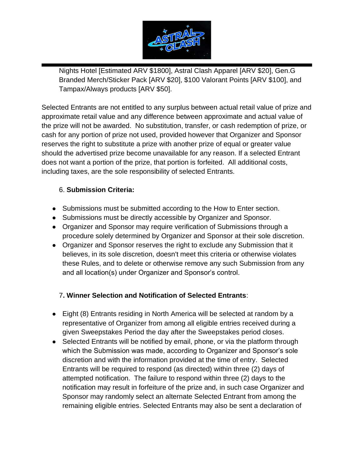

Nights Hotel [Estimated ARV \$1800], Astral Clash Apparel [ARV \$20], Gen.G Branded Merch/Sticker Pack [ARV \$20], \$100 Valorant Points [ARV \$100], and Tampax/Always products [ARV \$50].

Selected Entrants are not entitled to any surplus between actual retail value of prize and approximate retail value and any difference between approximate and actual value of the prize will not be awarded. No substitution, transfer, or cash redemption of prize, or cash for any portion of prize not used, provided however that Organizer and Sponsor reserves the right to substitute a prize with another prize of equal or greater value should the advertised prize become unavailable for any reason. If a selected Entrant does not want a portion of the prize, that portion is forfeited. All additional costs, including taxes, are the sole responsibility of selected Entrants.

## 6. **Submission Criteria:**

- Submissions must be submitted according to the How to Enter section.
- Submissions must be directly accessible by Organizer and Sponsor.
- Organizer and Sponsor may require verification of Submissions through a procedure solely determined by Organizer and Sponsor at their sole discretion.
- Organizer and Sponsor reserves the right to exclude any Submission that it believes, in its sole discretion, doesn't meet this criteria or otherwise violates these Rules, and to delete or otherwise remove any such Submission from any and all location(s) under Organizer and Sponsor's control.

## 7**. Winner Selection and Notification of Selected Entrants**:

- Eight (8) Entrants residing in North America will be selected at random by a representative of Organizer from among all eligible entries received during a given Sweepstakes Period the day after the Sweepstakes period closes.
- Selected Entrants will be notified by email, phone, or via the platform through which the Submission was made, according to Organizer and Sponsor's sole discretion and with the information provided at the time of entry. Selected Entrants will be required to respond (as directed) within three (2) days of attempted notification. The failure to respond within three (2) days to the notification may result in forfeiture of the prize and, in such case Organizer and Sponsor may randomly select an alternate Selected Entrant from among the remaining eligible entries. Selected Entrants may also be sent a declaration of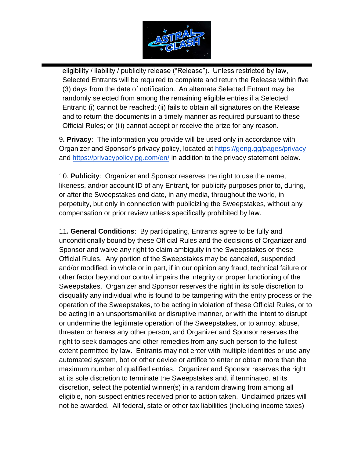

eligibility / liability / publicity release ("Release"). Unless restricted by law, Selected Entrants will be required to complete and return the Release within five (3) days from the date of notification. An alternate Selected Entrant may be randomly selected from among the remaining eligible entries if a Selected Entrant: (i) cannot be reached; (ii) fails to obtain all signatures on the Release and to return the documents in a timely manner as required pursuant to these Official Rules; or (iii) cannot accept or receive the prize for any reason.

9**. Privacy**: The information you provide will be used only in accordance with Organizer and Sponsor's privacy policy, located at<https://geng.gg/pages/privacy> and<https://privacypolicy.pg.com/en/> in addition to the privacy statement below.

10. **Publicity**: Organizer and Sponsor reserves the right to use the name, likeness, and/or account ID of any Entrant, for publicity purposes prior to, during, or after the Sweepstakes end date, in any media, throughout the world, in perpetuity, but only in connection with publicizing the Sweepstakes, without any compensation or prior review unless specifically prohibited by law.

11**. General Conditions**: By participating, Entrants agree to be fully and unconditionally bound by these Official Rules and the decisions of Organizer and Sponsor and waive any right to claim ambiguity in the Sweepstakes or these Official Rules. Any portion of the Sweepstakes may be canceled, suspended and/or modified, in whole or in part, if in our opinion any fraud, technical failure or other factor beyond our control impairs the integrity or proper functioning of the Sweepstakes. Organizer and Sponsor reserves the right in its sole discretion to disqualify any individual who is found to be tampering with the entry process or the operation of the Sweepstakes, to be acting in violation of these Official Rules, or to be acting in an unsportsmanlike or disruptive manner, or with the intent to disrupt or undermine the legitimate operation of the Sweepstakes, or to annoy, abuse, threaten or harass any other person, and Organizer and Sponsor reserves the right to seek damages and other remedies from any such person to the fullest extent permitted by law. Entrants may not enter with multiple identities or use any automated system, bot or other device or artifice to enter or obtain more than the maximum number of qualified entries. Organizer and Sponsor reserves the right at its sole discretion to terminate the Sweepstakes and, if terminated, at its discretion, select the potential winner(s) in a random drawing from among all eligible, non-suspect entries received prior to action taken. Unclaimed prizes will not be awarded. All federal, state or other tax liabilities (including income taxes)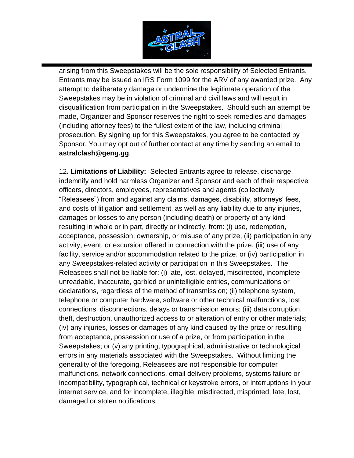

arising from this Sweepstakes will be the sole responsibility of Selected Entrants. Entrants may be issued an IRS Form 1099 for the ARV of any awarded prize. Any attempt to deliberately damage or undermine the legitimate operation of the Sweepstakes may be in violation of criminal and civil laws and will result in disqualification from participation in the Sweepstakes. Should such an attempt be made, Organizer and Sponsor reserves the right to seek remedies and damages (including attorney fees) to the fullest extent of the law, including criminal prosecution. By signing up for this Sweepstakes, you agree to be contacted by Sponsor. You may opt out of further contact at any time by sending an email to **astralclash@geng.gg**.

12**. Limitations of Liability:** Selected Entrants agree to release, discharge, indemnify and hold harmless Organizer and Sponsor and each of their respective officers, directors, employees, representatives and agents (collectively "Releasees") from and against any claims, damages, disability, attorneys' fees, and costs of litigation and settlement, as well as any liability due to any injuries, damages or losses to any person (including death) or property of any kind resulting in whole or in part, directly or indirectly, from: (i) use, redemption, acceptance, possession, ownership, or misuse of any prize, (ii) participation in any activity, event, or excursion offered in connection with the prize, (iii) use of any facility, service and/or accommodation related to the prize, or (iv) participation in any Sweepstakes-related activity or participation in this Sweepstakes. The Releasees shall not be liable for: (i) late, lost, delayed, misdirected, incomplete unreadable, inaccurate, garbled or unintelligible entries, communications or declarations, regardless of the method of transmission; (ii) telephone system, telephone or computer hardware, software or other technical malfunctions, lost connections, disconnections, delays or transmission errors; (iii) data corruption, theft, destruction, unauthorized access to or alteration of entry or other materials; (iv) any injuries, losses or damages of any kind caused by the prize or resulting from acceptance, possession or use of a prize, or from participation in the Sweepstakes; or (v) any printing, typographical, administrative or technological errors in any materials associated with the Sweepstakes. Without limiting the generality of the foregoing, Releasees are not responsible for computer malfunctions, network connections, email delivery problems, systems failure or incompatibility, typographical, technical or keystroke errors, or interruptions in your internet service, and for incomplete, illegible, misdirected, misprinted, late, lost, damaged or stolen notifications.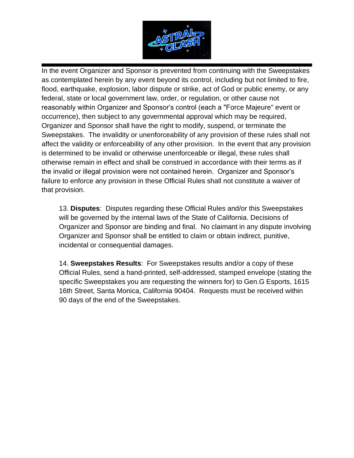

In the event Organizer and Sponsor is prevented from continuing with the Sweepstakes as contemplated herein by any event beyond its control, including but not limited to fire, flood, earthquake, explosion, labor dispute or strike, act of God or public enemy, or any federal, state or local government law, order, or regulation, or other cause not reasonably within Organizer and Sponsor's control (each a "Force Majeure" event or occurrence), then subject to any governmental approval which may be required, Organizer and Sponsor shall have the right to modify, suspend, or terminate the Sweepstakes. The invalidity or unenforceability of any provision of these rules shall not affect the validity or enforceability of any other provision. In the event that any provision is determined to be invalid or otherwise unenforceable or illegal, these rules shall otherwise remain in effect and shall be construed in accordance with their terms as if the invalid or illegal provision were not contained herein. Organizer and Sponsor's failure to enforce any provision in these Official Rules shall not constitute a waiver of that provision.

13. **Disputes**: Disputes regarding these Official Rules and/or this Sweepstakes will be governed by the internal laws of the State of California. Decisions of Organizer and Sponsor are binding and final. No claimant in any dispute involving Organizer and Sponsor shall be entitled to claim or obtain indirect, punitive, incidental or consequential damages.

14. **Sweepstakes Results**: For Sweepstakes results and/or a copy of these Official Rules, send a hand-printed, self-addressed, stamped envelope (stating the specific Sweepstakes you are requesting the winners for) to Gen.G Esports, 1615 16th Street, Santa Monica, California 90404. Requests must be received within 90 days of the end of the Sweepstakes.